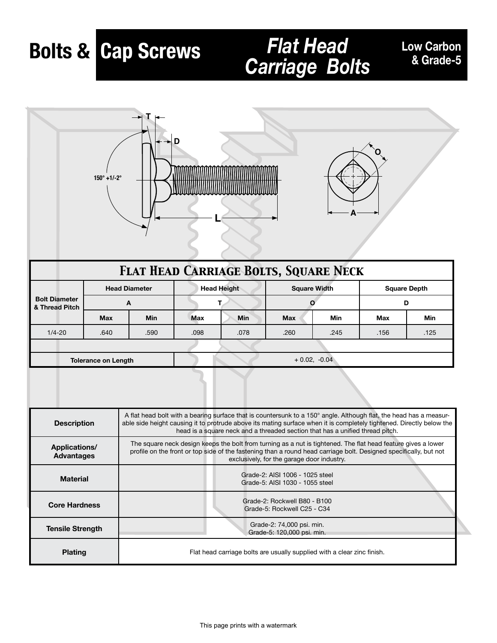# **Bolts & Cap Screws**

# *Carriage Bolts*

#### **Low Carbon & Grade-5**





| <b>FLAT HEAD CARRIAGE BOLTS, SQUARE NECK</b> |                            |                      |                    |            |            |                     |                     |      |  |  |
|----------------------------------------------|----------------------------|----------------------|--------------------|------------|------------|---------------------|---------------------|------|--|--|
| <b>Bolt Diameter</b><br>& Thread Pitch       |                            | <b>Head Diameter</b> | <b>Head Height</b> |            |            | <b>Square Width</b> | <b>Square Depth</b> |      |  |  |
|                                              |                            | A                    |                    |            |            | $\mathbf{o}$        | D                   |      |  |  |
|                                              | <b>Max</b>                 | <b>Min</b>           | <b>Max</b>         | <b>Min</b> | <b>Max</b> | <b>Min</b>          | Max                 | Min  |  |  |
| $1/4 - 20$                                   | .640                       | .590                 | .098               | .078       | .260       | .245                | .156                | .125 |  |  |
|                                              |                            |                      |                    |            |            |                     |                     |      |  |  |
|                                              | <b>Tolerance on Length</b> |                      | $+0.02, 0.04$      |            |            |                     |                     |      |  |  |

| <b>Description</b>                 | A flat head bolt with a bearing surface that is countersunk to a 150° angle. Although flat, the head has a measur-<br>able side height causing it to protrude above its mating surface when it is completely tightened. Directly below the<br>head is a square neck and a threaded section that has a unified thread pitch. |
|------------------------------------|-----------------------------------------------------------------------------------------------------------------------------------------------------------------------------------------------------------------------------------------------------------------------------------------------------------------------------|
| Applications/<br><b>Advantages</b> | The square neck design keeps the bolt from turning as a nut is tightened. The flat head feature gives a lower<br>profile on the front or top side of the fastening than a round head carriage bolt. Designed specifically, but not<br>exclusively, for the garage door industry.                                            |
| <b>Material</b>                    | Grade-2: AISI 1006 - 1025 steel<br>Grade-5: AISI 1030 - 1055 steel                                                                                                                                                                                                                                                          |
| <b>Core Hardness</b>               | Grade-2: Rockwell B80 - B100<br>Grade-5: Rockwell C25 - C34                                                                                                                                                                                                                                                                 |
| <b>Tensile Strength</b>            | Grade-2: 74,000 psi. min.<br>Grade-5: 120,000 psi. min.                                                                                                                                                                                                                                                                     |
| <b>Plating</b>                     | Flat head carriage bolts are usually supplied with a clear zinc finish.                                                                                                                                                                                                                                                     |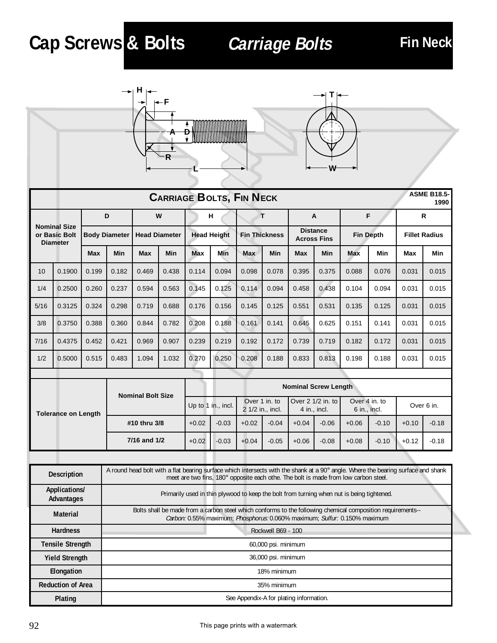# **Cap Screws & Bolts**

# **Carriage Bolts Fin Neck**





| <b>CARRIAGE BOLTS, FIN NECK</b> |                                                         |       |                      |                          |            |            |                    |                      | <b>ASME B18.5-</b><br>1990 |                                       |                                                |                     |       |                      |       |  |
|---------------------------------|---------------------------------------------------------|-------|----------------------|--------------------------|------------|------------|--------------------|----------------------|----------------------------|---------------------------------------|------------------------------------------------|---------------------|-------|----------------------|-------|--|
|                                 |                                                         |       | D                    |                          | W          |            | н                  |                      | т                          | A                                     |                                                | F                   |       |                      | R     |  |
|                                 | <b>Nominal Size</b><br>or Basic Bolt<br><b>Diameter</b> |       | <b>Body Diameter</b> | <b>Head Diameter</b>     |            |            | <b>Head Height</b> | <b>Fin Thickness</b> |                            | <b>Distance</b><br><b>Across Fins</b> |                                                | <b>Fin Depth</b>    |       | <b>Fillet Radius</b> |       |  |
|                                 |                                                         | Max   | Min                  | Max                      | <b>Min</b> | <b>Max</b> | Min                | <b>Max</b>           | Min                        | <b>Max</b>                            | Min                                            | Max                 | Min   | Max                  | Min   |  |
| 10                              | 0.1900                                                  | 0.199 | 0.182                | 0.469                    | 0.438      | 0.114      | 0.094              | 0.098                | 0.078                      | 0.395                                 | 0.375                                          | 0.088               | 0.076 | 0.031                | 0.015 |  |
| 1/4                             | 0.2500                                                  | 0.260 | 0.237                | 0.594                    | 0.563      | 0.145      | 0.125              | 0.114                | 0.094                      | 0.458                                 | 0.438                                          | 0.104               | 0.094 | 0.031                | 0.015 |  |
| 5/16                            | 0.3125                                                  | 0.324 | 0.298                | 0.719                    | 0.688      | 0.176      | 0.156              | 0.145                | 0.125                      | 0.551                                 | 0.531                                          | 0.135               | 0.125 | 0.031                | 0.015 |  |
| 3/8                             | 0.3750                                                  | 0.388 | 0.360                | 0.844                    | 0.782      | 0.208      | 0.188              | 0.161                | 0.141                      | 0.645                                 | 0.625                                          | 0.151               | 0.141 | 0.031                | 0.015 |  |
| 7/16                            | 0.4375                                                  | 0.452 | 0.421                | 0.969                    | 0.907      | 0.239      | 0.219              | 0.192                | 0.172                      | 0.739                                 | 0.719                                          | 0.182               | 0.172 | 0.031                | 0.015 |  |
| 1/2                             | 0.5000                                                  | 0.515 | 0.483                | 1.094                    | 1.032      | 0.270      | 0.250              | 0.208                | 0.188                      | 0.833                                 | 0.813                                          | 0.198               | 0.188 | 0.031                | 0.015 |  |
|                                 |                                                         |       |                      |                          |            |            |                    |                      |                            |                                       |                                                |                     |       |                      |       |  |
|                                 |                                                         |       |                      | <b>Nominal Bolt Size</b> |            |            |                    |                      |                            |                                       | <b>Nominal Screw Length</b>                    |                     |       |                      |       |  |
|                                 |                                                         |       |                      |                          |            |            |                    |                      | Over 1 in to               |                                       | $\overline{O}$ Over 2 1/2 in to $\overline{O}$ | Over 4 in $\tau$ to |       |                      |       |  |

| <b>Tolerance on Length</b> |              |         | Up to 1 in., incl. | Over 1 in. to<br>2 1/2 in., incl. |         | $\sqrt{\frac{1}{2} + \frac{1}{2}}$ Over 2 1/2 in. to $\sqrt{\frac{1}{2}}$<br>$4$ in., incl. |         | Over 4 in. to<br>6 in., incl. |         | Over 6 in. |         |
|----------------------------|--------------|---------|--------------------|-----------------------------------|---------|---------------------------------------------------------------------------------------------|---------|-------------------------------|---------|------------|---------|
|                            | #10 thru 3/8 | $+0.02$ | $-0.03$            | $+0.02$                           | $-0.04$ | $+0.04$                                                                                     | $-0.06$ | $+0.06$                       | $-0.10$ | $+0.10$    | $-0.18$ |
|                            | 7/16 and 1/2 | $+0.02$ | $-0.03$            | $+0.04$                           | $-0.05$ | $+0.06$                                                                                     | $-0.08$ | $+0.08$                       | $-0.10$ | $+0.12$    | $-0.18$ |

| <b>Description</b>          | A round head bolt with a flat bearing surface which intersects with the shank at a 90° angle. Where the bearing surface and shank<br>meet are two fins, 180° opposite each othe. The bolt is made from low carbon steel. |
|-----------------------------|--------------------------------------------------------------------------------------------------------------------------------------------------------------------------------------------------------------------------|
| Applications/<br>Advantages | Primarily used in thin plywood to keep the bolt from turning when nut is being tightened.                                                                                                                                |
| Material                    | Bolts shall be made from a carbon steel which conforms to the following chemical composition requirements--<br>Carbon: 0.55% maximum; Phosphorus: 0.060% maximum; Sulfur: 0.150% maximum                                 |
| <b>Hardness</b>             | Rockwell B69 - 100                                                                                                                                                                                                       |
| <b>Tensile Strength</b>     | 60,000 psi. minimum                                                                                                                                                                                                      |
| <b>Yield Strength</b>       | 36,000 psi. minimum                                                                                                                                                                                                      |
| Elongation                  | 18% minimum                                                                                                                                                                                                              |
| <b>Reduction of Area</b>    | 35% minimum                                                                                                                                                                                                              |
| Plating                     | See Appendix-A for plating information.                                                                                                                                                                                  |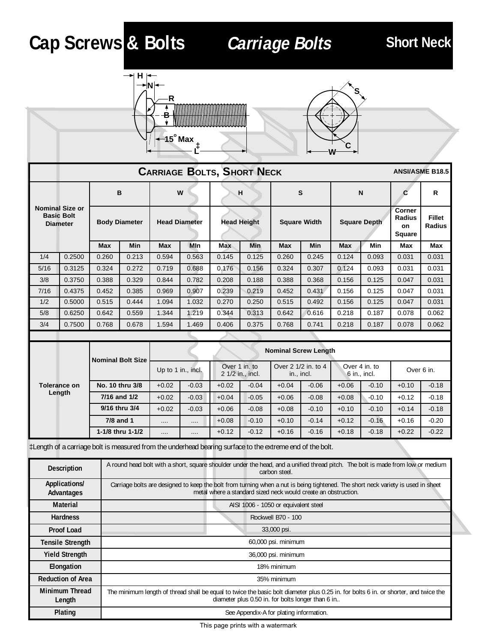# **Cap Screws & Bolts Carriage Bolts Short Neck**

**Length**





|                                                                | <b>CARRIAGE BOLTS, SHORT NECK</b>      |                          |                      |                      |            |                    |                                   |                     |                                   |                     | <b>ANSI/ASME B18.5</b>          |                                                |                                |
|----------------------------------------------------------------|----------------------------------------|--------------------------|----------------------|----------------------|------------|--------------------|-----------------------------------|---------------------|-----------------------------------|---------------------|---------------------------------|------------------------------------------------|--------------------------------|
|                                                                |                                        | в                        |                      |                      | W          |                    | н                                 |                     | S                                 |                     | N                               | C                                              | R                              |
| <b>Nominal Size or</b><br><b>Basic Bolt</b><br><b>Diameter</b> |                                        |                          | <b>Body Diameter</b> | <b>Head Diameter</b> |            | <b>Head Height</b> |                                   | <b>Square Width</b> |                                   | <b>Square Depth</b> |                                 | Corner<br><b>Radius</b><br>on<br><b>Square</b> | <b>Fillet</b><br><b>Radius</b> |
|                                                                |                                        | Max                      | Min                  | Max                  | <b>MIn</b> | <b>Max</b>         | Min                               | Max                 | Min                               | <b>Max</b>          | Min                             | Max                                            | Max                            |
| 1/4                                                            | 0.2500                                 | 0.260                    | 0.213                | 0.594                | 0.563      | 0.145              | 0.125                             | 0.260               | 0.245                             | 0.124               | 0.093                           | 0.031                                          | 0.031                          |
| 5/16                                                           | 0.3125                                 | 0.324                    | 0.272                | 0.719                | 0.688      | 0.176              | 0.156                             | 0.324               | 0.307                             | 0.124               | 0.093                           | 0.031                                          | 0.031                          |
| 3/8                                                            | 0.3750                                 | 0.388                    | 0.329                | 0.844                | 0.782      | 0.208              | 0.188                             | 0.388               | 0.368                             | 0.156               | 0.125                           | 0.047                                          | 0.031                          |
| 7/16                                                           | 0.4375                                 | 0.452                    | 0.385                | 0.969                | 0.907      | 0.239              | 0.219                             | 0.452               | 0.431                             | 0.156               | 0.125                           | 0.047                                          | 0.031                          |
| 1/2                                                            | 0.5000                                 | 0.515                    | 0.444                | 1.094                | 1.032      | 0.270              | 0.250                             | 0.515               | 0.492                             | 0.156               | 0.125                           | 0.047                                          | 0.031                          |
| 5/8                                                            | 0.6250                                 | 0.642                    | 0.559                | 1.344                | 1.219      | 0.344              | 0.313                             | 0.642               | 0.616                             | 0.218               | 0.187                           | 0.078                                          | 0.062                          |
| 3/4                                                            | 0.7500                                 | 0.768                    | 0.678                | 1.594                | 1.469      | 0.406              | 0.375                             | 0.768               | 0.741                             | 0.218               | 0.187                           | 0.078                                          | 0.062                          |
|                                                                |                                        |                          |                      |                      |            |                    |                                   |                     |                                   |                     |                                 |                                                |                                |
|                                                                |                                        | <b>Nominal Bolt Size</b> |                      |                      |            |                    |                                   |                     | <b>Nominal Screw Length</b>       |                     |                                 |                                                |                                |
|                                                                |                                        |                          |                      | Up to 1 in., incl.   |            |                    | Over 1 in. to<br>2 1/2 in., incl. |                     | Over 2 1/2 in. to 4<br>in., incl. |                     | Over 4 in. to<br>$6$ in., incl. |                                                | Over 6 in.                     |
|                                                                | No. 10 thru 3/8<br><b>Tolerance on</b> |                          |                      | $+0.02$              | $-0.03$    | $+0.02$            | $-0.04$                           | $+0.04$             | $-0.06$                           | $+0.06$             | $-0.10$                         | $+0.10$                                        | $-0.18$                        |

**7/16 and 1/2**  $\begin{bmatrix} +0.02 \\ -0.03 \end{bmatrix}$  +0.04  $\begin{bmatrix} -0.05 \\ -0.05 \end{bmatrix}$  +0.08  $\begin{bmatrix} +0.08 \\ +0.08 \end{bmatrix}$  -0.10  $\begin{bmatrix} +0.12 \\ -0.18 \end{bmatrix}$  -0.18 **9/16 thru 3/4**  $\vert$  +0.02  $\vert$  -0.03  $\vert$  +0.06  $\vert$  -0.08  $\vert$  +0.08  $\vert$  -0.10  $\vert$  +0.10  $\vert$  -0.10  $\vert$  +0.14  $\vert$  -0.18 **7/8 and 1 | …. | …. | +**0.08 | -0.10 | +0.10 | -0.14 | +0.12 | -0.16 | +0.16 | -0.20 **1-1/8 thru 1-1/2** .... **1 ....** +0.12 -0.12 +0.16 -0.16 +0.18 -0.18 +0.22 -0.22

‡Length of a carriage bolt is measured from the underhead bearing surface to the extreme end of the bolt.

| <b>Description</b>          | A round head bolt with a short, square shoulder under the head, and a unified thread pitch. The bolt is made from low or medium<br>carbon steel.                                                   |
|-----------------------------|----------------------------------------------------------------------------------------------------------------------------------------------------------------------------------------------------|
| Applications/<br>Advantages | Carriage bolts are designed to keep the bolt from turning when a nut is being tightened. The short neck variety is used in sheet<br>metal where a standard sized neck would create an obstruction. |
| Material                    | AISI 1006 - 1050 or equivalent steel                                                                                                                                                               |
| <b>Hardness</b>             | Rockwell B70 - 100                                                                                                                                                                                 |
| <b>Proof Load</b>           | 33,000 psi.                                                                                                                                                                                        |
| <b>Tensile Strength</b>     | 60,000 psi. minimum                                                                                                                                                                                |
| <b>Yield Strength</b>       | 36,000 psi. minimum                                                                                                                                                                                |
| Elongation                  | 18% minimum                                                                                                                                                                                        |
| <b>Reduction of Area</b>    | 35% minimum                                                                                                                                                                                        |
| Minimum Thread<br>Length    | The minimum length of thread shall be equal to twice the basic bolt diameter plus 0.25 in. for bolts 6 in. or shorter, and twice the<br>diameter plus 0.50 in. for bolts longer than 6 in          |
| Plating                     | See Appendix-A for plating information.                                                                                                                                                            |

This page prints with a watermark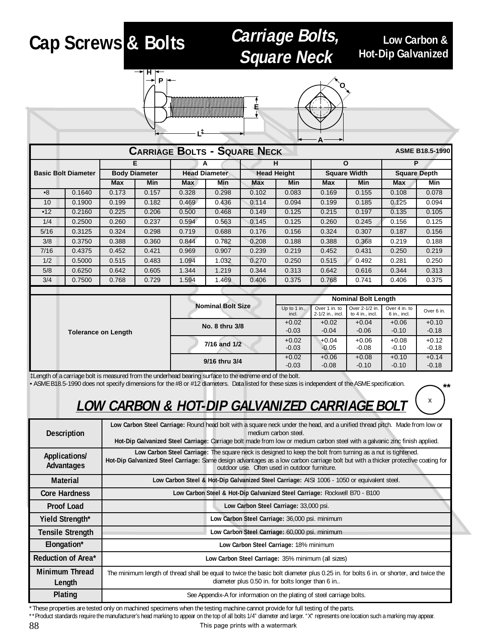# **Cap Screws & Bolts**

#### **Carriage Bolts, Square Neck**

**Low Carbon & Hot-Dip Galvanized**

x

**\*\***





|           | <b>CARRIAGE BOLTS - SQUARE NECK</b><br><b>ASME B18.5-1990</b> |       |                      |       |                      |       |                    |       |                            |       |                     |  |  |
|-----------|---------------------------------------------------------------|-------|----------------------|-------|----------------------|-------|--------------------|-------|----------------------------|-------|---------------------|--|--|
|           |                                                               |       | Е                    |       | A                    |       | н                  |       | $\mathbf{o}$               |       | P                   |  |  |
|           | <b>Basic Bolt Diameter</b>                                    |       | <b>Body Diameter</b> |       | <b>Head Diameter</b> |       | <b>Head Height</b> |       | <b>Square Width</b>        |       | <b>Square Depth</b> |  |  |
|           |                                                               | Max   | Min                  | Max   | Min                  | Max   | Min                | Max   | Min                        | Max   | Min                 |  |  |
| $\cdot$ 8 | 0.1640                                                        | 0.173 | 0.157                | 0.328 | 0.298                | 0.102 | 0.083              | 0.169 | 0.155                      | 0.108 | 0.078               |  |  |
| 10        | 0.1900                                                        | 0.199 | 0.182                | 0.469 | 0.436                | 0.114 | 0.094              | 0.199 | 0.185                      | 0.125 | 0.094               |  |  |
| •12       | 0.2160                                                        | 0.225 | 0.206                | 0.500 | 0.468                | 0.149 | 0.125              | 0.215 | 0.197                      | 0.135 | 0.105               |  |  |
| 1/4       | 0.2500                                                        | 0.260 | 0.237                | 0.594 | 0.563                | 0.145 | 0.125              | 0.260 | 0.245                      | 0.156 | 0.125               |  |  |
| 5/16      | 0.3125                                                        | 0.324 | 0.298                | 0.719 | 0.688                | 0.176 | 0.156              | 0.324 | 0.307                      | 0.187 | 0.156               |  |  |
| 3/8       | 0.3750                                                        | 0.388 | 0.360                | 0.844 | 0.782                | 0.208 | 0.188              | 0.388 | 0.368                      | 0.219 | 0.188               |  |  |
| 7/16      | 0.4375                                                        | 0.452 | 0.421                | 0.969 | 0.907                | 0.239 | 0.219              | 0.452 | 0.431                      | 0.250 | 0.219               |  |  |
| 1/2       | 0.5000                                                        | 0.515 | 0.483                | 1.094 | 1.032                | 0.270 | 0.250              | 0.515 | 0.492                      | 0.281 | 0.250               |  |  |
| 5/8       | 0.6250                                                        | 0.642 | 0.605                | 1.344 | 1.219                | 0.344 | 0.313              | 0.642 | 0.616                      | 0.344 | 0.313               |  |  |
| 3/4       | 0.7500                                                        | 0.768 | 0.729                | 1.594 | 1.469                | 0.406 | 0.375              | 0.768 | 0.741                      | 0.406 | 0.375               |  |  |
|           |                                                               |       |                      |       |                      |       |                    |       |                            |       |                     |  |  |
|           |                                                               |       |                      |       |                      |       |                    |       | <b>Nominal Bolt Length</b> |       |                     |  |  |

|                            |                          | <b>Nominal Bolt Length</b> |                                   |                                   |                                 |            |  |
|----------------------------|--------------------------|----------------------------|-----------------------------------|-----------------------------------|---------------------------------|------------|--|
|                            | <b>Nominal Bolt Size</b> | Up to 1 in.,<br>incl.      | Over 1 in. to<br>2-1/2 in., incl. | Over 2-1/2 in.<br>to 4 in., incl. | Over 4 in. to<br>$6$ in., incl. | Over 6 in. |  |
|                            | No. 8 thru 3/8           | $+0.02$                    | $+0.02$                           | $+0.04$                           | $+0.06$                         | $+0.10$    |  |
| <b>Tolerance on Length</b> |                          | $-0.03$                    | $-0.04$                           | $-0.06$                           | $-0.10$                         | $-0.18$    |  |
|                            | 7/16 and 1/2             | $+0.02$                    | $+0.04$                           | $+0.06$                           | $+0.08$                         | $+0.12$    |  |
|                            |                          | $-0.03$                    | $-0.05$                           | $-0.08$                           | $-0.10$                         | $-0.18$    |  |
|                            | 9/16 thru 3/4            | $+0.02$                    | $+0.06$                           | $+0.08$                           | $+0.10$                         | $+0.14$    |  |
|                            |                          | $-0.03$                    | $-0.08$                           | $-0.10$                           | $-0.10$                         | $-0.18$    |  |

‡Length of a carriage bolt is measured from the underhead bearing surface to the extreme end of the bolt.

• ASME B18.5-1990 does not specify dimensions for the #8 or #12 diameters. Data listed for these sizes is independent of the ASME specification.

### **LOW CARBON & HOT-DIP GALVANIZED CARRIAGE BOLT**

| <b>Description</b>          | Low Carbon Steel Carriage: Round head bolt with a square neck under the head, and a unified thread pitch. Made from low or<br>medium carbon steel.<br>Hot-Dip Galvanized Steel Carriage: Carriage bolt made from low or medium carbon steel with a galvanic zinc finish applied.                  |  |  |  |  |  |  |
|-----------------------------|---------------------------------------------------------------------------------------------------------------------------------------------------------------------------------------------------------------------------------------------------------------------------------------------------|--|--|--|--|--|--|
| Applications/<br>Advantages | Low Carbon Steel Carriage: The square neck is designed to keep the bolt from turning as a nut is tightened.<br>Hot-Dip Galvanized Steel Carriage: Same design advantages as a low carbon carriage bolt but with a thicker protective coating for<br>outdoor use. Often used in outdoor furniture. |  |  |  |  |  |  |
| Material                    | Low Carbon Steel & Hot-Dip Galvanized Steel Carriage: AISI 1006 - 1050 or equivalent steel.                                                                                                                                                                                                       |  |  |  |  |  |  |
| <b>Core Hardness</b>        | Low Carbon Steel & Hot-Dip Galvanized Steel Carriage: Rockwell B70 - B100                                                                                                                                                                                                                         |  |  |  |  |  |  |
| <b>Proof Load</b>           | Low Carbon Steel Carriage: 33,000 psi.                                                                                                                                                                                                                                                            |  |  |  |  |  |  |
| Yield Strength*             | Low Carbon Steel Carriage: 36,000 psi. minimum                                                                                                                                                                                                                                                    |  |  |  |  |  |  |
| <b>Tensile Strength</b>     | Low Carbon Steel Carriage: 60,000 psi. minimum                                                                                                                                                                                                                                                    |  |  |  |  |  |  |
| Elongation*                 | Low Carbon Steel Carriage: 18% minimum                                                                                                                                                                                                                                                            |  |  |  |  |  |  |
| Reduction of Area*          | Low Carbon Steel Carriage: 35% minimum (all sizes)                                                                                                                                                                                                                                                |  |  |  |  |  |  |
| Minimum Thread<br>Length    | The minimum length of thread shall be equal to twice the basic bolt diameter plus 0.25 in. for bolts 6 in. or shorter, and twice the<br>diameter plus 0.50 in. for bolts longer than 6 in                                                                                                         |  |  |  |  |  |  |
| Plating                     | See Appendix-A for information on the plating of steel carriage bolts.                                                                                                                                                                                                                            |  |  |  |  |  |  |

\*These properties are tested only on machined specimens when the testing machine cannot provide for full testing of the parts.

\*\*Product standards require the manufacturer's head marking to appear on the top of all bolts 1/4" diameter and larger. "X" represents one location such a marking may appear.

This page prints with a watermark